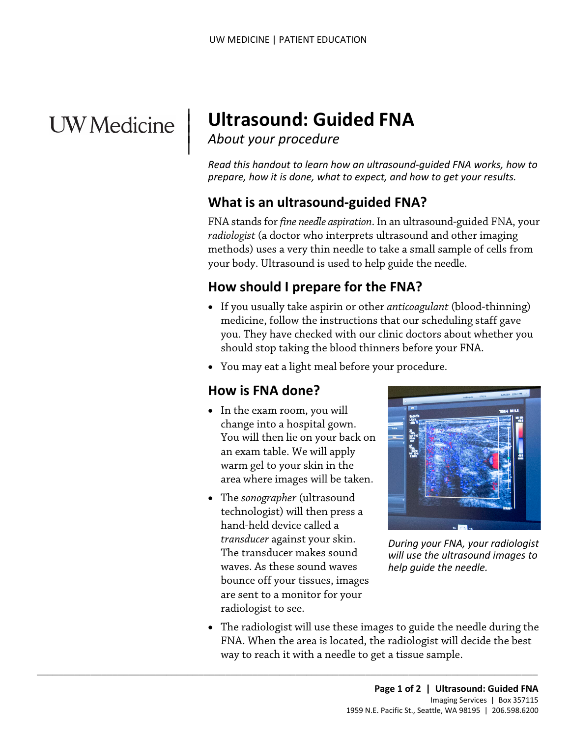## **UW** Medicine

|

# <sup>|</sup>**Ultrasound: Guided FNA** | *About your procedure* <sup>|</sup>

*Read this handout to learn how an ultrasound-guided FNA works, how to prepare, how it is done, what to expect, and how to get your results.* 

#### **What is an ultrasound-guided FNA?**

FNA stands for *fine needle aspiration*. In an ultrasound-guided FNA, your *radiologist* (a doctor who interprets ultrasound and other imaging methods) uses a very thin needle to take a small sample of cells from your body. Ultrasound is used to help guide the needle.

#### **How should I prepare for the FNA?**

- If you usually take aspirin or other *anticoagulant* (blood-thinning) medicine, follow the instructions that our scheduling staff gave you. They have checked with our clinic doctors about whether you should stop taking the blood thinners before your FNA.
- You may eat a light meal before your procedure.

#### **How is FNA done?**

- • In the exam room, you will change into a hospital gown. You will then lie on your back on an exam table. We will apply warm gel to your skin in the area where images will be taken.
- technologist) will then press a The transducer makes sound • The *sonographer* (ultrasound hand-held device called a *transducer* against your skin. waves. As these sound waves bounce off your tissues, images are sent to a monitor for your radiologist to see.

 $\_$  ,  $\_$  ,  $\_$  ,  $\_$  ,  $\_$  ,  $\_$  ,  $\_$  ,  $\_$  ,  $\_$  ,  $\_$  ,  $\_$  ,  $\_$  ,  $\_$  ,  $\_$  ,  $\_$  ,  $\_$  ,  $\_$  ,  $\_$  ,  $\_$  ,  $\_$  ,  $\_$  ,  $\_$  ,  $\_$  ,  $\_$  ,  $\_$  ,  $\_$  ,  $\_$  ,  $\_$  ,  $\_$  ,  $\_$  ,  $\_$  ,  $\_$  ,  $\_$  ,  $\_$  ,  $\_$  ,  $\_$  ,  $\_$  ,



*During your FNA, your radiologist will use the ultrasound images to help guide the needle.* 

 • The radiologist will use these images to guide the needle during the FNA. When the area is located, the radiologist will decide the best way to reach it with a needle to get a tissue sample.